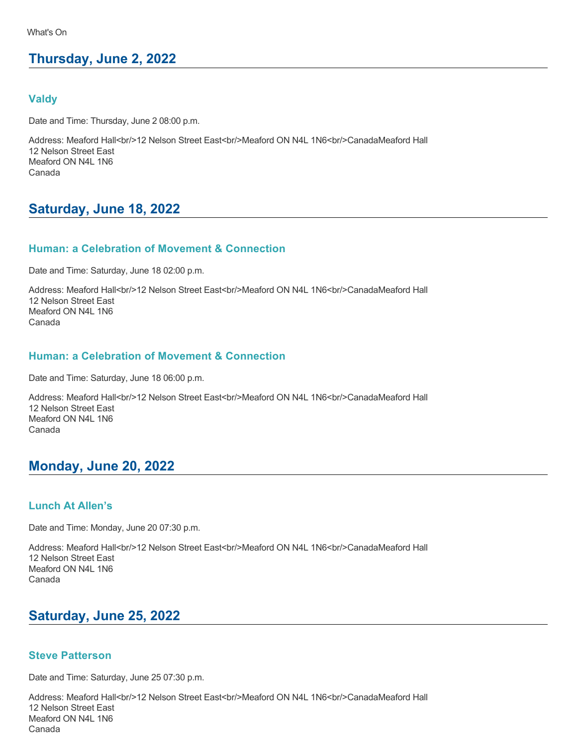# **Thursday, June 2, 2022**

### **Valdy**

Date and Time: Thursday, June 2 08:00 p.m.

Address: Meaford Hall<br/><br/>>12 Nelson Street East<br/>sty>Meaford ON N4L 1N6<br/>corr>CanadaMeaford Hall 12 Nelson Street East Meaford ON N4L 1N6 Canada

# **Saturday, June 18, 2022**

### **Human: a Celebration of Movement & Connection**

Date and Time: Saturday, June 18 02:00 p.m.

Address: Meaford Hall<br/><br/>>>
12 Nelson Street East<br/>strbr/>Meaford ON N4L 1N6<br/>br/>CanadaMeaford Hall 12 Nelson Street East Meaford ON N4L 1N6 Canada

### **Human: a Celebration of Movement & Connection**

Date and Time: Saturday, June 18 06:00 p.m.

Address: Meaford Hall<br/>shall Nelson Street East<br/>shall And ON N4L 1N6<br/>br/>CanadaMeaford Hall 12 Nelson Street East Meaford ON N4L 1N6 Canada

# **Monday, June 20, 2022**

### **Lunch At Allen's**

Date and Time: Monday, June 20 07:30 p.m.

Address: Meaford Hall<br/>shall>On Street East<br/>shall>On N4L 1N6<br/>shall>CanadaMeaford Hall 12 Nelson Street East Meaford ON N4L 1N6 Canada

# **Saturday, June 25, 2022**

### **Steve Patterson**

Date and Time: Saturday, June 25 07:30 p.m.

Address: Meaford Hall<br/><br/>>>
12 Nelson Street East<br/>stron/>Meaford ON N4L 1N6<br/>br/>CanadaMeaford Hall 12 Nelson Street East Meaford ON N4L 1N6 Canada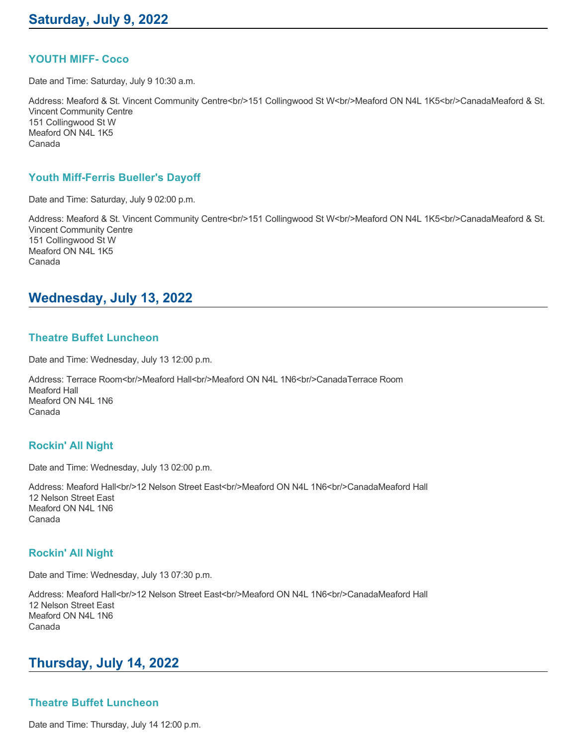### **YOUTH MIFF- Coco**

Date and Time: Saturday, July 9 10:30 a.m.

Address: Meaford & St. Vincent Community Centre<br/>chride Collingwood St W<br/>chride Andre DN N4L 1K5<br/>chride CanadaMeaford & St. Vincent Community Centre 151 Collingwood St W Meaford ON N4L 1K5 Canada

### **Youth Miff-Ferris Bueller's Dayoff**

Date and Time: Saturday, July 9 02:00 p.m.

Address: Meaford & St. Vincent Community Centre<br/>chride Collingwood St W<br/>chride Andre DN N4L 1K5<br/>chride CanadaMeaford & St. Vincent Community Centre 151 Collingwood St W Meaford ON N4L 1K5 Canada

# **Wednesday, July 13, 2022**

### **Theatre Buffet Luncheon**

Date and Time: Wednesday, July 13 12:00 p.m.

Address: Terrace Room<br/>ht>Meaford Hall<br/>cht>Meaford ON N4L 1N6<br/>cht>CanadaTerrace Room Meaford Hall Meaford ON N4L 1N6 Canada

### **Rockin' All Night**

Date and Time: Wednesday, July 13 02:00 p.m.

Address: Meaford Hall<br/><br/>>12 Nelson Street East<br/>str>Meaford ON N4L 1N6<br/>str>CanadaMeaford Hall 12 Nelson Street East Meaford ON N4L 1N6 Canada

### **Rockin' All Night**

Date and Time: Wednesday, July 13 07:30 p.m.

Address: Meaford Hall<br/><br/>>12 Nelson Street East<br/>str>Meaford ON N4L 1N6<br/>str>CanadaMeaford Hall 12 Nelson Street East Meaford ON N4L 1N6 Canada

# **Thursday, July 14, 2022**

### **Theatre Buffet Luncheon**

Date and Time: Thursday, July 14 12:00 p.m.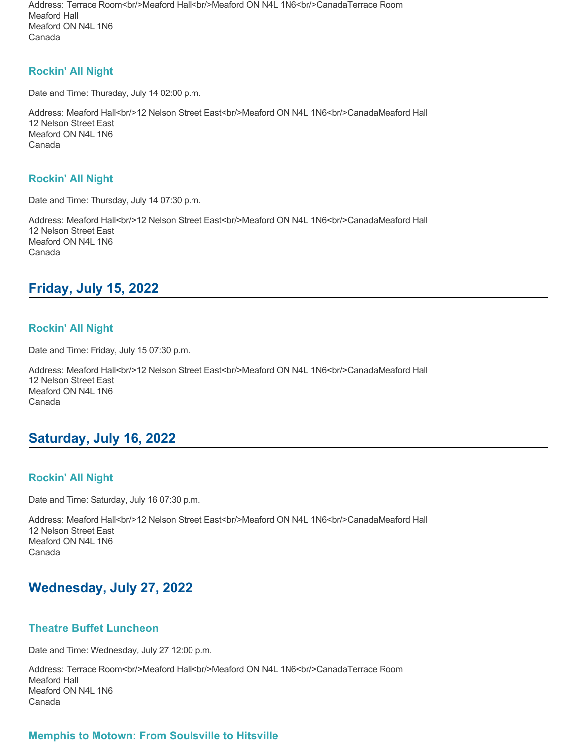Address: Terrace Room<br/>shr/>Meaford Hall<br/><br/>Meaford ON N4L 1N6<br/>br/>CanadaTerrace Room Meaford Hall Meaford ON N4L 1N6 Canada

### **Rockin' All Night**

Date and Time: Thursday, July 14 02:00 p.m.

Address: Meaford Hall<br/><br/>>12 Nelson Street East<br/>str>Meaford ON N4L 1N6<br/>str>CanadaMeaford Hall 12 Nelson Street East Meaford ON N4L 1N6 Canada

### **Rockin' All Night**

Date and Time: Thursday, July 14 07:30 p.m.

Address: Meaford Hall<br/><br/>>
<br/>2 Nelson Street East<br/>stry>Meaford ON N4L 1N6<br/>br/>CanadaMeaford Hall 12 Nelson Street East Meaford ON N4L 1N6 Canada

# **Friday, July 15, 2022**

### **Rockin' All Night**

Date and Time: Friday, July 15 07:30 p.m.

Address: Meaford Hall<br/>shall>On Street East<br/>shall>On N4L 1N6<br/>shall>CanadaMeaford Hall 12 Nelson Street East Meaford ON N4L 1N6 Canada

# **Saturday, July 16, 2022**

### **Rockin' All Night**

Date and Time: Saturday, July 16 07:30 p.m.

Address: Meaford Hall<br/>shall>>2 Nelson Street East<br/>shall>>Canada ON N4L 1N6<br/>shall>CanadaMeaford Hall 12 Nelson Street East Meaford ON N4L 1N6 Canada

# **Wednesday, July 27, 2022**

### **Theatre Buffet Luncheon**

Date and Time: Wednesday, July 27 12:00 p.m.

Address: Terrace Room<br/>shy>Meaford Hall<br/><br/>leaford ON N4L 1N6<br/>shy>CanadaTerrace Room Meaford Hall Meaford ON N4L 1N6 Canada

### **Memphis to Motown: From Soulsville to Hitsville**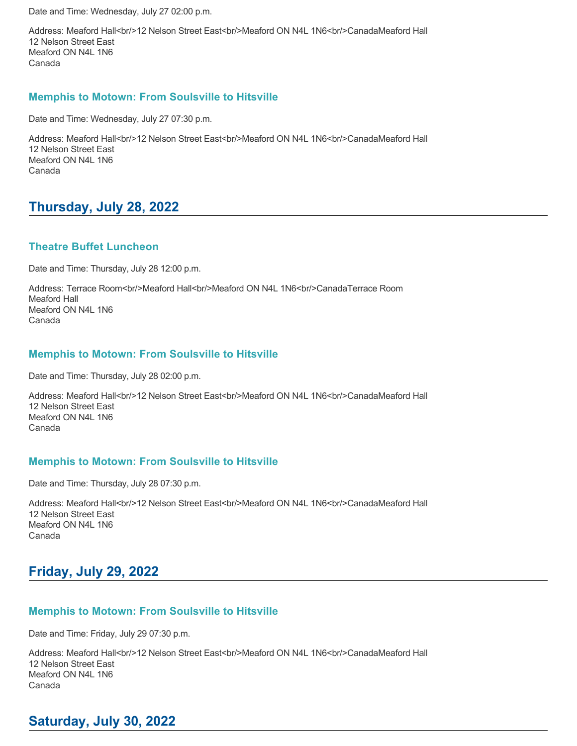Date and Time: Wednesday, July 27 02:00 p.m.

Address: Meaford Hall<br/><br/>>>
12 Nelson Street East<br/>stron/>
Meaford ON N4L 1N6<br/>br/>
CanadaMeaford Hall 12 Nelson Street East Meaford ON N4L 1N6 Canada

### **Memphis to Motown: From Soulsville to Hitsville**

Date and Time: Wednesday, July 27 07:30 p.m.

Address: Meaford Hall<br/>s/>/>2 Nelson Street East<br/>shr>Meaford ON N4L 1N6<br/>br/>CanadaMeaford Hall 12 Nelson Street East Meaford ON N4L 1N6 Canada

# **Thursday, July 28, 2022**

### **Theatre Buffet Luncheon**

Date and Time: Thursday, July 28 12:00 p.m.

Address: Terrace Room<br/>shr/>Meaford Hall<br/><br/>Meaford ON N4L 1N6<br/>br/>CanadaTerrace Room Meaford Hall Meaford ON N4L 1N6 Canada

### **Memphis to Motown: From Soulsville to Hitsville**

Date and Time: Thursday, July 28 02:00 p.m.

Address: Meaford Hall<br/><br/>>12 Nelson Street East<br/>sty>Meaford ON N4L 1N6<br/>corr>CanadaMeaford Hall 12 Nelson Street East Meaford ON N4L 1N6 Canada

### **Memphis to Motown: From Soulsville to Hitsville**

Date and Time: Thursday, July 28 07:30 p.m.

Address: Meaford Hall<br/><br/>>>
12 Nelson Street East<br/>strbr/>Meaford ON N4L 1N6<br/>br/>CanadaMeaford Hall 12 Nelson Street East Meaford ON N4L 1N6 Canada

# **Friday, July 29, 2022**

### **Memphis to Motown: From Soulsville to Hitsville**

Date and Time: Friday, July 29 07:30 p.m.

Address: Meaford Hall<br/><br/>>12 Nelson Street East<br/>str>Meaford ON N4L 1N6<br/>br/>CanadaMeaford Hall 12 Nelson Street East Meaford ON N4L 1N6 Canada

# **Saturday, July 30, 2022**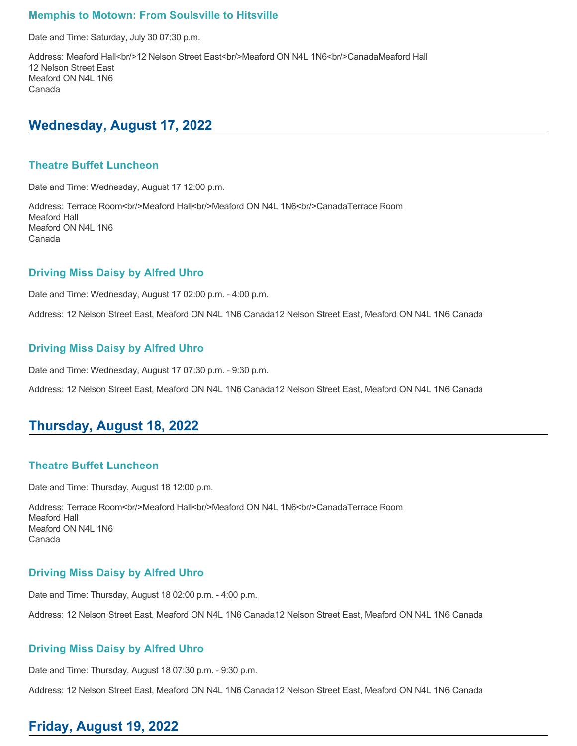### **Memphis to Motown: From Soulsville to Hitsville**

Date and Time: Saturday, July 30 07:30 p.m.

Address: Meaford Hall<br/><br/>>12 Nelson Street East<br/>stration ON N4L 1N6<br/>corrid CanadaMeaford Hall 12 Nelson Street East Meaford ON N4L 1N6 Canada

### **Wednesday, August 17, 2022**

#### **Theatre Buffet Luncheon**

Date and Time: Wednesday, August 17 12:00 p.m.

Address: Terrace Room<br/>shy>Meaford Hall<br/><br/>l<br/>Aleaford ON N4L 1N6<br/>shy>CanadaTerrace Room Meaford Hall Meaford ON N4L 1N6 Canada

#### **Driving Miss Daisy by Alfred Uhro**

Date and Time: Wednesday, August 17 02:00 p.m. - 4:00 p.m.

Address: 12 Nelson Street East, Meaford ON N4L 1N6 Canada12 Nelson Street East, Meaford ON N4L 1N6 Canada

#### **Driving Miss Daisy by Alfred Uhro**

Date and Time: Wednesday, August 17 07:30 p.m. - 9:30 p.m.

Address: 12 Nelson Street East, Meaford ON N4L 1N6 Canada12 Nelson Street East, Meaford ON N4L 1N6 Canada

# **Thursday, August 18, 2022**

#### **Theatre Buffet Luncheon**

Date and Time: Thursday, August 18 12:00 p.m.

Address: Terrace Room<br/>shy>Meaford Hall<br/>shy>Meaford ON N4L 1N6<br/>shy>CanadaTerrace Room Meaford Hall Meaford ON N4L 1N6 Canada

### **Driving Miss Daisy by Alfred Uhro**

Date and Time: Thursday, August 18 02:00 p.m. - 4:00 p.m.

Address: 12 Nelson Street East, Meaford ON N4L 1N6 Canada12 Nelson Street East, Meaford ON N4L 1N6 Canada

### **Driving Miss Daisy by Alfred Uhro**

Date and Time: Thursday, August 18 07:30 p.m. - 9:30 p.m.

Address: 12 Nelson Street East, Meaford ON N4L 1N6 Canada12 Nelson Street East, Meaford ON N4L 1N6 Canada

# **Friday, August 19, 2022**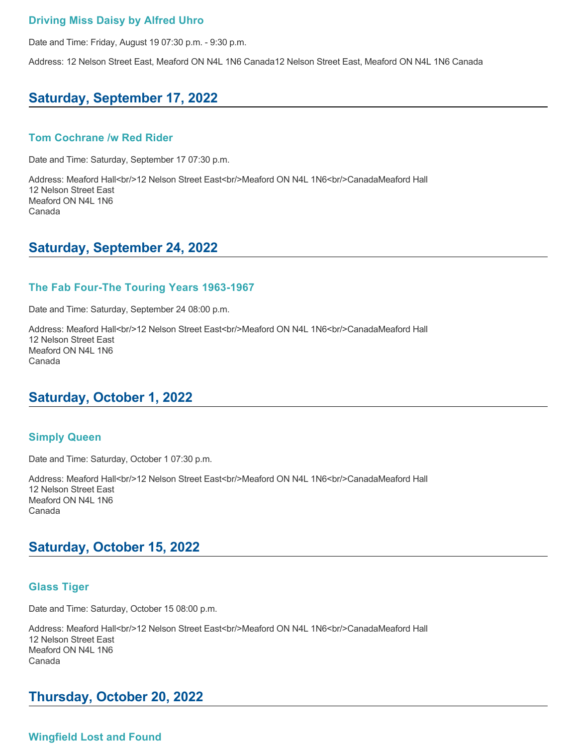### **Driving Miss Daisy by Alfred Uhro**

Date and Time: Friday, August 19 07:30 p.m. - 9:30 p.m.

Address: 12 Nelson Street East, Meaford ON N4L 1N6 Canada12 Nelson Street East, Meaford ON N4L 1N6 Canada

# **Saturday, September 17, 2022**

#### **Tom Cochrane /w Red Rider**

Date and Time: Saturday, September 17 07:30 p.m.

Address: Meaford Hall<br/>shipsion Street East<br/>shipsion ON N4L 1N6<br/>shipsional Hall 12 Nelson Street East Meaford ON N4L 1N6 Canada

### **Saturday, September 24, 2022**

#### **The Fab Four-The Touring Years 1963-1967**

Date and Time: Saturday, September 24 08:00 p.m.

Address: Meaford Hall<br/><br/>>
12 Nelson Street East<br/>str>Meaford ON N4L 1N6<br/>str>CanadaMeaford Hall 12 Nelson Street East Meaford ON N4L 1N6 Canada

# **Saturday, October 1, 2022**

#### **Simply Queen**

Date and Time: Saturday, October 1 07:30 p.m.

Address: Meaford Hall<br/>shipsion Street East<br/>shipsion ON N4L 1N6<br/>shipsional Hall 12 Nelson Street East Meaford ON N4L 1N6 Canada

# **Saturday, October 15, 2022**

#### **Glass Tiger**

Date and Time: Saturday, October 15 08:00 p.m.

Address: Meaford Hall<br/>shall>On Street East<br/>shall>On N4L 1N6<br/>shall>CanadaMeaford Hall 12 Nelson Street East Meaford ON N4L 1N6 Canada

# **Thursday, October 20, 2022**

### **Wingfield Lost and Found**